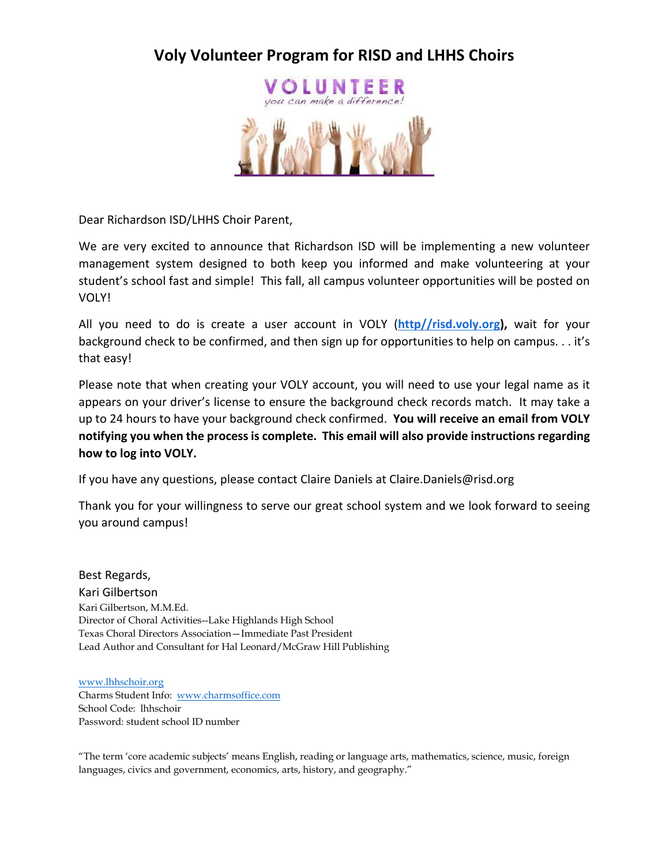## **Voly Volunteer Program for RISD and LHHS Choirs**



Dear Richardson ISD/LHHS Choir Parent,

We are very excited to announce that Richardson ISD will be implementing a new volunteer management system designed to both keep you informed and make volunteering at your student's school fast and simple! This fall, all campus volunteer opportunities will be posted on VOLY!

All you need to do is create a user account in VOLY (**[http//risd.voly.org\)](http://richardsonisd.voly.org/),** wait for your background check to be confirmed, and then sign up for opportunities to help on campus. . . it's that easy!

Please note that when creating your VOLY account, you will need to use your legal name as it appears on your driver's license to ensure the background check records match. It may take a up to 24 hours to have your background check confirmed. **You will receive an email from VOLY notifying you when the process is complete. This email will also provide instructions regarding how to log into VOLY.**

If you have any questions, please contact Claire Daniels at Claire.Daniels@risd.org

Thank you for your willingness to serve our great school system and we look forward to seeing you around campus!

Best Regards, Kari Gilbertson Kari Gilbertson, M.M.Ed. Director of Choral Activities--Lake Highlands High School Texas Choral Directors Association—Immediate Past President Lead Author and Consultant for Hal Leonard/McGraw Hill Publishing

[www.lhhschoir.org](http://www.lhhschoir.org/) Charms Student Info: [www.charmsoffice.com](http://www.charmsoffice.com/) School Code: lhhschoir Password: student school ID number

"The term 'core academic subjects' means English, reading or language arts, mathematics, science, music, foreign languages, civics and government, economics, arts, history, and geography."